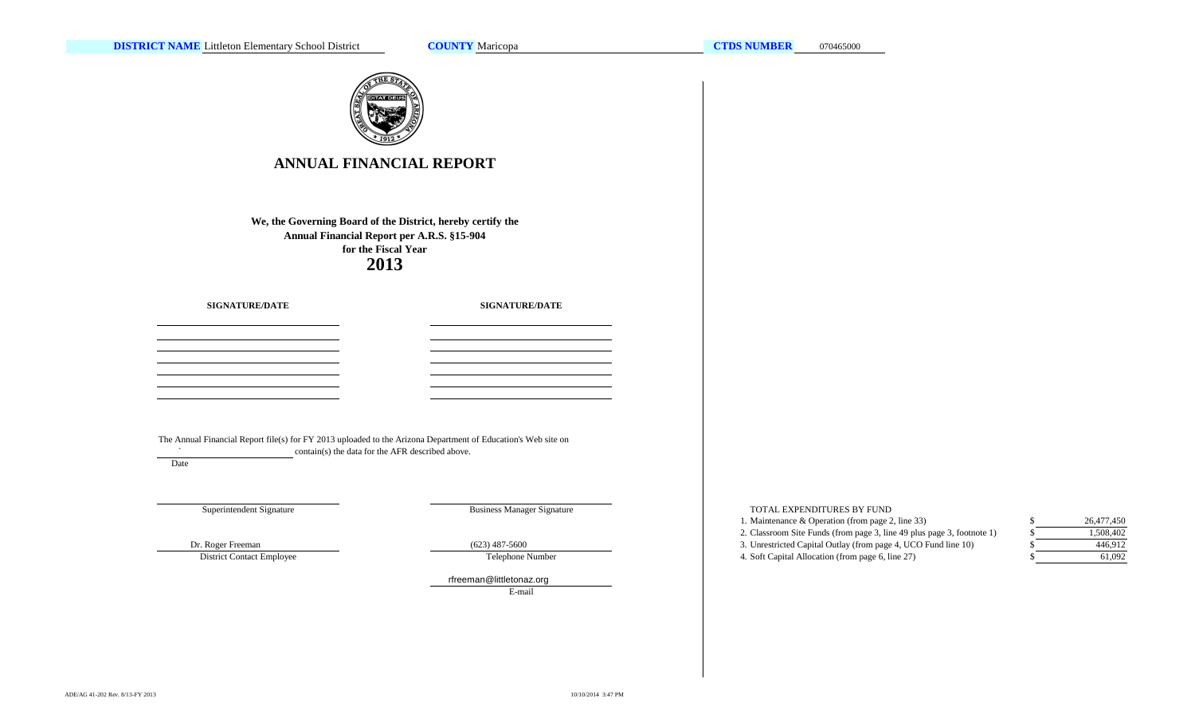**COUNTY**



# **ANNUAL FINANCIAL REPORT**

**2013We, the Governing Board of the District, hereby certify the Annual Financial Report per A.R.S. §15-904 for the Fiscal Year**

**SIGNATURE/DATE**

**SIGNATURE/DATE**

The Annual Financial Report file(s) for FY 2013 uploaded to the Arizona Department of Education's Web site on  $\sim$ contain(s) the data for the AFR described above.

Date

Superintendent Signature

Business Manager Signature

District Contact Employee

Telephone Number

rfreeman@littletonaz.org E-mail

TOTAL EXPENDITURES BY FUND

1. Maintenance & Operation (from page 2, line 33) \$ 2. Classroom Site Funds (from page 3, line 49 plus page 3, footnote 1) \$ Dr. Roger Freeman (623) 487-5600 (623) 487-5600 3. Unrestricted Capital Outlay (from page 4, UCO Fund line 10) 4. Soft Capital Allocation (from page 6, line 27) \$

| ς  | 26,477,450 |
|----|------------|
| S  | 1,508,402  |
| \$ | 446.912    |
| \$ | 61,092     |
|    |            |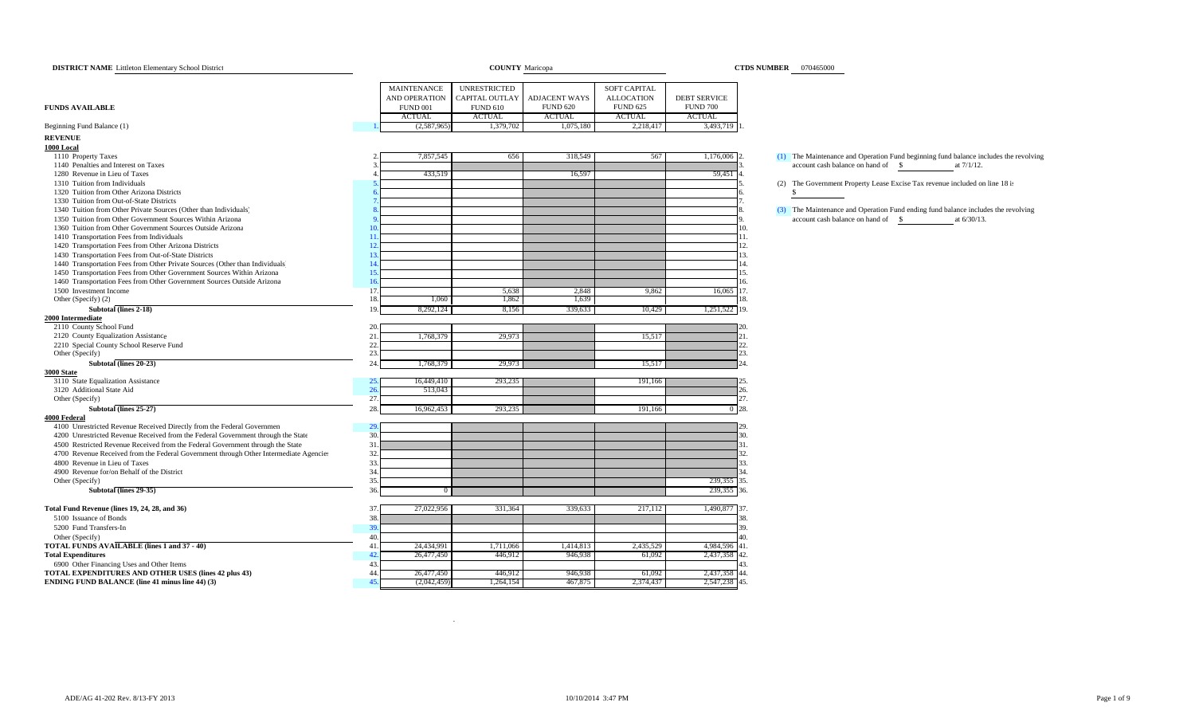| <b>DISTRICT NAME</b> Littleton Elementary School District                             |                              | <b>COUNTY</b> Maricopa |                      |                     |                     | <b>CTDS NUMBER</b> 070465000                                                         |
|---------------------------------------------------------------------------------------|------------------------------|------------------------|----------------------|---------------------|---------------------|--------------------------------------------------------------------------------------|
|                                                                                       | <b>MAINTENANCE</b>           | <b>UNRESTRICTED</b>    |                      | <b>SOFT CAPITAL</b> |                     |                                                                                      |
|                                                                                       | AND OPERATION                | CAPITAL OUTLAY         | <b>ADJACENT WAYS</b> | <b>ALLOCATION</b>   | <b>DEBT SERVICE</b> |                                                                                      |
| <b>FUNDS AVAILABLE</b>                                                                | <b>FUND 001</b>              | <b>FUND 610</b>        | <b>FUND 620</b>      | <b>FUND 625</b>     | <b>FUND 700</b>     |                                                                                      |
|                                                                                       | <b>ACTUAL</b>                | <b>ACTUAL</b>          | <b>ACTUAL</b>        | <b>ACTUAL</b>       | <b>ACTUAL</b>       |                                                                                      |
| Beginning Fund Balance (1)                                                            | (2,587,965)                  | 1,379,702              | 1,075,180            | 2,218,417           | 3,493,719           |                                                                                      |
| <b>REVENUE</b>                                                                        |                              |                        |                      |                     |                     |                                                                                      |
| 1000 Local                                                                            |                              |                        |                      |                     |                     |                                                                                      |
| 1110 Property Taxes                                                                   | 7,857,545                    | 656                    | 318,549              | 567                 | 1,176,006 2.        | (1) The Maintenance and Operation Fund beginning fund balance includes the revolving |
| 1140 Penalties and Interest on Taxes                                                  |                              |                        |                      |                     |                     | account cash balance on hand of \$<br>at 7/1/12.                                     |
| 1280 Revenue in Lieu of Taxes                                                         | 433,519                      |                        | 16,597               |                     | 59,451              |                                                                                      |
| 1310 Tuition from Individuals                                                         |                              |                        |                      |                     |                     | (2) The Government Property Lease Excise Tax revenue included on line 18 is          |
| 1320 Tuition from Other Arizona Districts                                             |                              |                        |                      |                     |                     | - \$                                                                                 |
| 1330 Tuition from Out-of-State Districts                                              |                              |                        |                      |                     |                     |                                                                                      |
| 1340 Tuition from Other Private Sources (Other than Individuals)                      |                              |                        |                      |                     |                     | (3) The Maintenance and Operation Fund ending fund balance includes the revolving    |
| 1350 Tuition from Other Government Sources Within Arizona                             |                              |                        |                      |                     |                     | account cash balance on hand of \$<br>at 6/30/13.                                    |
| 1360 Tuition from Other Government Sources Outside Arizona                            |                              |                        |                      |                     |                     | 10.                                                                                  |
| 1410 Transportation Fees from Individuals                                             | 1 <sup>1</sup>               |                        |                      |                     |                     | 11.                                                                                  |
| 1420 Transportation Fees from Other Arizona Districts                                 | 12                           |                        |                      |                     |                     | 12.                                                                                  |
| 1430 Transportation Fees from Out-of-State Districts                                  | $\mathbf{1}^{\circ}$         |                        |                      |                     |                     | 13.                                                                                  |
| 1440 Transportation Fees from Other Private Sources (Other than Individuals)          | 14                           |                        |                      |                     |                     | 14.                                                                                  |
| 1450 Transportation Fees from Other Government Sources Within Arizona                 | 1 <sup>4</sup>               |                        |                      |                     |                     | 15.                                                                                  |
| 1460 Transportation Fees from Other Government Sources Outside Arizona                | $\overline{1}$               |                        |                      |                     |                     | 16.                                                                                  |
| 1500 Investment Income                                                                | 17                           | 5,638                  | 2,848                | 9,862               | 16,065              | 17.                                                                                  |
| Other (Specify) (2)                                                                   | 1,060<br>18                  | 1,862                  | 1,639                |                     |                     | 18.                                                                                  |
| Subtotal (lines 2-18)                                                                 | 1 <sup>C</sup><br>8,292,124  | 8,156                  | 339,633              | 10,429              | 1,251,522 19.       |                                                                                      |
| 2000 Intermediate                                                                     |                              |                        |                      |                     |                     |                                                                                      |
| 2110 County School Fund                                                               | 20                           |                        |                      |                     |                     |                                                                                      |
| 2120 County Equalization Assistance                                                   | 21<br>1,768,379              | 29,973                 |                      | 15,517              |                     |                                                                                      |
| 2210 Special County School Reserve Fund                                               | 22.                          |                        |                      |                     |                     | 22                                                                                   |
| Other (Specify)                                                                       | 23.                          |                        |                      |                     |                     | 23.                                                                                  |
| Subtotal (lines 20-23)                                                                | 24<br>1,768,379              | 29,973                 |                      | 15,517              |                     | 24                                                                                   |
| <b>3000 State</b>                                                                     |                              |                        |                      |                     |                     |                                                                                      |
| 3110 State Equalization Assistance                                                    | 16,449,410<br>2.3<br>26      | 293,235                |                      | 191,166             |                     |                                                                                      |
| 3120 Additional State Aid<br>Other (Specify)                                          | 513,043<br>27                |                        |                      |                     |                     | 26.<br>27.                                                                           |
| Subtotal (lines 25-27)                                                                | 28                           |                        |                      |                     |                     | $0^{\circ}28.$                                                                       |
| <b>4000 Federal</b>                                                                   | 16,962,453                   | 293,235                |                      | 191,166             |                     |                                                                                      |
| 4100 Unrestricted Revenue Received Directly from the Federal Governmen                | 29                           |                        |                      |                     |                     | 29                                                                                   |
| 4200 Unrestricted Revenue Received from the Federal Government through the State      | 30.                          |                        |                      |                     |                     | 30.                                                                                  |
| 4500 Restricted Revenue Received from the Federal Government through the State        | 3 <sup>1</sup>               |                        |                      |                     |                     | 31.                                                                                  |
| 4700 Revenue Received from the Federal Government through Other Intermediate Agencies | 32                           |                        |                      |                     |                     | 32.                                                                                  |
| 4800 Revenue in Lieu of Taxes                                                         | 33                           |                        |                      |                     |                     | 33.                                                                                  |
| 4900 Revenue for/on Behalf of the District                                            | 34                           |                        |                      |                     |                     | 34                                                                                   |
| Other (Specify)                                                                       | 35                           |                        |                      |                     | 239,355             | 35.                                                                                  |
| Subtotal (lines 29-35)                                                                | 36<br>$\Omega$               |                        |                      |                     | 239,355 36.         |                                                                                      |
|                                                                                       |                              |                        |                      |                     |                     |                                                                                      |
| Total Fund Revenue (lines 19, 24, 28, and 36)                                         | 37<br>27,022,956             | 331,364                | 339,633              | 217,112             | 1,490,877           | 37.                                                                                  |
| 5100 Issuance of Bonds                                                                | 38                           |                        |                      |                     |                     | 38.                                                                                  |
| 5200 Fund Transfers-In                                                                | 3 <sup>0</sup>               |                        |                      |                     |                     | 39.                                                                                  |
| Other (Specify)                                                                       | 40                           |                        |                      |                     |                     | 40                                                                                   |
| <b>TOTAL FUNDS AVAILABLE (lines 1 and 37 - 40)</b>                                    | 24,434,991<br>$\overline{4}$ | 1,711,066              | 1,414,813            | 2,435,529           | 4,984,596 41.       |                                                                                      |
| <b>Total Expenditures</b>                                                             | 26,477,450                   | 446,912                | 946,938              | 61,092              | 2,437,358           | 42.                                                                                  |
| 6900 Other Financing Uses and Other Items                                             | 43                           |                        |                      |                     |                     | 13                                                                                   |
| TOTAL EXPENDITURES AND OTHER USES (lines 42 plus 43)                                  | 44<br>26,477,450             | 446,912                | 946,938              | 61,092              | 2,437,358 44.       |                                                                                      |
| <b>ENDING FUND BALANCE (line 41 minus line 44) (3)</b>                                | (2,042,459)                  | 1,264,154              | 467,875              | 2,374,437           | 2,547,238 45.       |                                                                                      |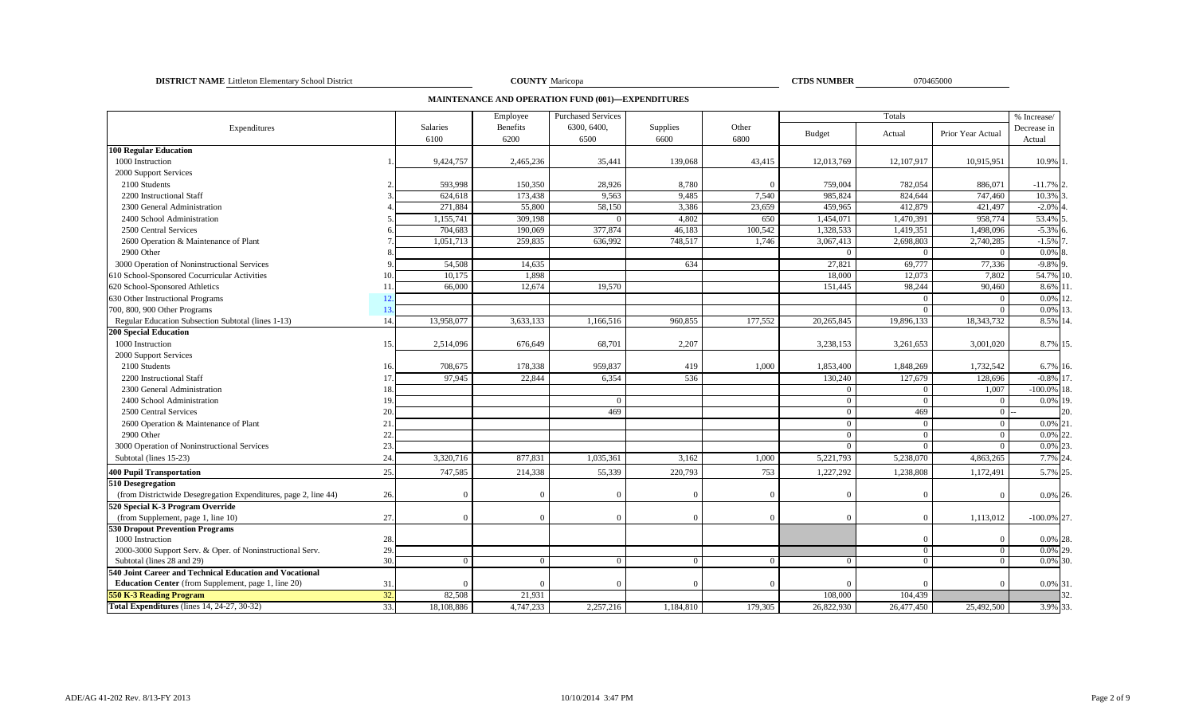**DISTRICT NAME** Littleton Elementary School District **COUNTY** Maricopa **COUNTY** Maricopa **COUNTY COUNTY COUNTY COUNTY COUNTY COUNTY COUNTY COUNTY COUNTY COUNTY COUNTY COUNTY COUNTY COUNTY COUNTY** 

COUNTY Maricopa

**CTDS NUMBER** 

**MAINTENANCE AND OPERATION FUND (001)—EXPENDITURES**

|                                                                 |     |            | Employee           | <b>Purchased Services</b> |                |          |                       | Totals                 |                        | % Increase/          |
|-----------------------------------------------------------------|-----|------------|--------------------|---------------------------|----------------|----------|-----------------------|------------------------|------------------------|----------------------|
| Expenditures                                                    |     | Salaries   | <b>Benefits</b>    | 6300, 6400,               | Supplies       | Other    | <b>Budget</b>         | Actual                 | Prior Year Actual      | Decrease in          |
|                                                                 |     | 6100       | 6200               | 6500                      | 6600           | 6800     |                       |                        |                        | Actual               |
| <b>100 Regular Education</b><br>1000 Instruction                |     | 9,424,757  | 2,465,236          | 35,441                    | 139,068        | 43,415   | 12,013,769            | 12,107,917             | 10,915,951             | 10.9% 1              |
| 2000 Support Services                                           |     |            |                    |                           |                |          |                       |                        |                        |                      |
| 2100 Students                                                   |     | 593,998    | 150,350            | 28,926                    | 8,780          | $\Omega$ | 759,004               | 782,054                | 886,071                | $-11.7%$ 2           |
| 2200 Instructional Staff                                        |     | 624,618    | 173,438            | 9,563                     | 9,485          | 7,540    | 985,824               | 824,644                | 747,460                | 10.3%                |
|                                                                 |     | 271,884    | 55,800             | 58,150                    |                | 23,659   |                       | 412,879                |                        |                      |
| 2300 General Administration<br>2400 School Administration       |     | 1,155,741  | 309,198            |                           | 3,386<br>4,802 | 650      | 459,965<br>1,454,071  | 1,470,391              | 421,497<br>958,774     | $-2.0%$<br>53.4%     |
|                                                                 |     |            |                    | 377,874                   | 46,183         | 100,542  | 1,328,533             |                        |                        |                      |
| 2500 Central Services                                           |     | 704,683    | 190,069<br>259,835 | 636,992                   | 748,517        |          |                       | 1,419,351<br>2,698,803 | 1,498,096<br>2,740,285 | $-5.3%$ 6<br>$-1.5%$ |
| 2600 Operation & Maintenance of Plant                           |     | 1,051,713  |                    |                           |                | 1,746    | 3,067,413<br>$\Omega$ |                        |                        |                      |
| 2900 Other                                                      |     |            |                    |                           |                |          |                       |                        | $\Omega$               | $0.0\%$              |
| 3000 Operation of Noninstructional Services                     |     | 54,508     | 14,635             |                           | 634            |          | 27,821                | 69,777                 | 77,336                 | $-9.8\%$ 9           |
| 610 School-Sponsored Cocurricular Activities                    |     | 10,175     | 1,898              |                           |                |          | 18,000                | 12,073                 | 7,802                  | 54.7% 10             |
| 620 School-Sponsored Athletics                                  | 11  | 66,000     | 12,674             | 19,570                    |                |          | 151,445               | 98,244                 | 90,460                 | 8.6% 1               |
| 630 Other Instructional Programs                                | 12  |            |                    |                           |                |          |                       | $\Omega$               | $\mathbf{0}$           | 0.0%                 |
| 700, 800, 900 Other Programs                                    | 13  |            |                    |                           |                |          |                       |                        | $\Omega$               | 0.0% 13              |
| Regular Education Subsection Subtotal (lines 1-13)              | 14. | 13,958,077 | 3,633,133          | 1,166,516                 | 960,855        | 177,552  | 20,265,845            | 19,896,133             | 18,343,732             | 8.5% 14.             |
| <b>200 Special Education</b>                                    |     |            |                    |                           |                |          |                       |                        |                        |                      |
| 1000 Instruction                                                | 15. | 2,514,096  | 676,649            | 68,701                    | 2,207          |          | 3,238,153             | 3,261,653              | 3,001,020              | 8.7% 15.             |
| 2000 Support Services                                           |     |            |                    |                           |                |          |                       |                        |                        |                      |
| 2100 Students                                                   | 16  | 708,675    | 178,338            | 959,837                   | 419            | 1,000    | 1,853,400             | 1,848,269              | 1,732,542              | 6.7% 16.             |
| 2200 Instructional Staff                                        | 17  | 97,945     | 22,844             | 6,354                     | 536            |          | 130,240               | 127,679                | 128,696                | $-0.8\%$ 17.         |
| 2300 General Administration                                     |     |            |                    |                           |                |          | $\overline{0}$        | $\Omega$               | 1,007                  | $-100.0\%$ 18.       |
| 2400 School Administration                                      | 19  |            |                    |                           |                |          | $\theta$              | $\sqrt{ }$             | $\Omega$               | 0.0% 19.             |
| 2500 Central Services                                           | 20  |            |                    | 469                       |                |          | $\overline{0}$        | 469                    | $\overline{0}$         | 20.                  |
| 2600 Operation & Maintenance of Plant                           | 21  |            |                    |                           |                |          | $\theta$              | $\Omega$               | $\Omega$               | $0.0\%$ 21           |
| 2900 Other                                                      | 22  |            |                    |                           |                |          | $\theta$              | $\Omega$               | $\Omega$               | 0.09                 |
| 3000 Operation of Noninstructional Services                     | 23. |            |                    |                           |                |          | $\overline{0}$        | $\Omega$               | $\overline{0}$         | 0.0% 23              |
| Subtotal (lines 15-23)                                          | 24  | 3,320,716  | 877,831            | 1,035,361                 | 3,162          | 1,000    | 5,221,793             | 5,238,070              | 4,863,265              | 7.7% 24              |
| <b>400 Pupil Transportation</b>                                 | 25. | 747,585    | 214,338            | 55,339                    | 220,793        | 753      | 1,227,292             | 1,238,808              | 1,172,491              | 5.7% 25              |
| 510 Desegregation                                               |     |            |                    |                           |                |          |                       |                        |                        |                      |
| (from Districtwide Desegregation Expenditures, page 2, line 44) | 26. |            | $\Omega$           |                           | $\Omega$       | $\Omega$ | $\Omega$              |                        | $\Omega$               | 0.0% 26.             |
| 520 Special K-3 Program Override                                |     |            |                    |                           |                |          |                       |                        |                        |                      |
| (from Supplement, page 1, line 10)                              | 27. |            | $\Omega$           |                           | $\Omega$       | $\Omega$ | $\Omega$              | $\Omega$               | 1,113,012              | $-100.0\%$ 27.       |
| <b>530 Dropout Prevention Programs</b>                          |     |            |                    |                           |                |          |                       |                        |                        |                      |
| 1000 Instruction                                                | 28. |            |                    |                           |                |          |                       |                        |                        | 0.0% 28.             |
| 2000-3000 Support Serv. & Oper. of Noninstructional Serv.       | 29  |            |                    |                           |                |          |                       | $\Omega$               | $\overline{0}$         | 0.0% 29              |
| Subtotal (lines 28 and 29)                                      | 30. | $\Omega$   | $\Omega$           |                           | $\overline{0}$ | $\Omega$ | $\overline{0}$        | $\overline{0}$         | $\overline{0}$         | $0.0\%$ 30.          |
| 540 Joint Career and Technical Education and Vocational         |     |            |                    |                           |                |          |                       |                        |                        |                      |
| <b>Education Center</b> (from Supplement, page 1, line 20)      | 31  |            | $\Omega$           |                           | $\Omega$       | $\Omega$ | $\Omega$              |                        | $\Omega$               | 0.0% 31.             |
| <b>550 K-3 Reading Program</b>                                  | 32. | 82,508     | 21,931             |                           |                |          | 108,000               | 104,439                |                        | 32                   |
| Total Expenditures (lines 14, 24-27, 30-32)                     | 33. | 18,108,886 | 4,747,233          | 2,257,216                 | 1,184,810      | 179,305  | 26,822,930            | 26,477,450             | 25,492,500             | 3.9% 33.             |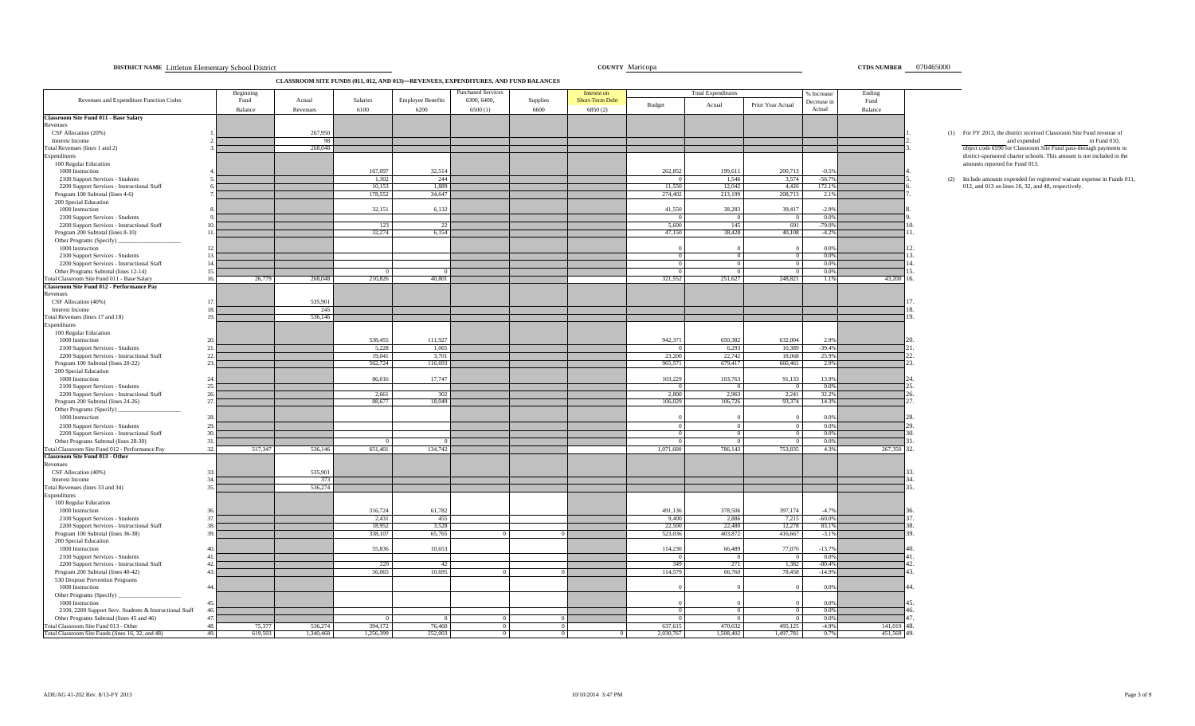| 070465000<br>COUNTY Maricopa<br><b>CTDS NUMBER</b><br>DISTRICT NAME Littleton Elementary School District |
|----------------------------------------------------------------------------------------------------------|
|----------------------------------------------------------------------------------------------------------|

**CLASSROOM SITE FUNDS (011, 012, AND 013)—REVENUES, EXPENDITURES, AND FUND BALANCES**

|                                                                                    | Beginning       |                    |                  |                                  | <b>Purchased Services</b> |                  | Interest on                       |                   | <b>Total Expenditures</b> |                   | % Increase            | Ending          |                                                                                                       |
|------------------------------------------------------------------------------------|-----------------|--------------------|------------------|----------------------------------|---------------------------|------------------|-----------------------------------|-------------------|---------------------------|-------------------|-----------------------|-----------------|-------------------------------------------------------------------------------------------------------|
| Revenues and Expenditure Function Codes                                            | Fund<br>Balance | Actual<br>Revenues | Salaries<br>6100 | <b>Employee Benefits</b><br>6200 | 6300, 6400,<br>6500(1)    | Supplies<br>6600 | <b>Short-Term Debt</b><br>6850(2) | Budget            | Actual                    | Prior Year Actual | Decrease in<br>Actual | Fund<br>Balance |                                                                                                       |
| <b>Classroom Site Fund 011 - Base Salary</b>                                       |                 |                    |                  |                                  |                           |                  |                                   |                   |                           |                   |                       |                 |                                                                                                       |
| Revenues<br>CSF Allocation (20%)                                                   |                 | 267,950            |                  |                                  |                           |                  |                                   |                   |                           |                   |                       |                 |                                                                                                       |
| Interest Income                                                                    |                 | 98                 |                  |                                  |                           |                  |                                   |                   |                           |                   |                       |                 | (1) For FY 2013, the district received Classroom Site Fund revenue of<br>and expended<br>in Fund 010, |
| Total Revenues (lines 1 and 2)                                                     |                 | 268,048            |                  |                                  |                           |                  |                                   |                   |                           |                   |                       |                 | object code 6590 for Classroom Site Fund pass-through payments to                                     |
| Expenditures                                                                       |                 |                    |                  |                                  |                           |                  |                                   |                   |                           |                   |                       |                 | district-sponsored charter schools. This amount is not included in the                                |
| 100 Regular Education<br>1000 Instruction                                          |                 |                    | 167,097          | 32,514                           |                           |                  |                                   | 262,852           | 199,611                   | 200,713           | $-0.5%$               |                 | amounts reported for Fund 013.                                                                        |
| 2100 Support Services - Students                                                   |                 |                    | 1,302            | 244                              |                           |                  |                                   |                   | 1,546                     | 3,574             | $-56.7%$              |                 | (2) Include amounts expended for registered warrant expense in Funds 011                              |
| 2200 Support Services - Instructional Staff                                        |                 |                    | 10.153           | 1.889                            |                           |                  |                                   | 11.550            | 12,042                    | 4,426             | 172.1%                |                 | 012, and 013 on lines 16, 32, and 48, respectively.                                                   |
| Program 100 Subtotal (lines 4-6)                                                   |                 |                    | 178,552          | 34,647                           |                           |                  |                                   | 274,402           | 213,199                   | 208,713           | 2.1%                  |                 |                                                                                                       |
| 200 Special Education<br>1000 Instruction                                          |                 |                    | 32,151           | 6,132                            |                           |                  |                                   | 41,550            | 38,283                    | 39,417            | $-2.9%$               |                 |                                                                                                       |
| 2100 Support Services - Students                                                   |                 |                    |                  |                                  |                           |                  |                                   |                   |                           |                   | 0.0%                  |                 |                                                                                                       |
| 2200 Support Services - Instructional Staff                                        |                 |                    | 123              | 22                               |                           |                  |                                   | 5,600             | 145                       | 691               | $-79.0%$              |                 |                                                                                                       |
| Program 200 Subtotal (lines 8-10)                                                  | 11.             |                    | 32,274           | 6,154                            |                           |                  |                                   | 47,150            | 38,428                    | 40,108            | $-4.2%$               |                 |                                                                                                       |
| Other Programs (Specify)<br>1000 Instruction                                       | $12^{\circ}$    |                    |                  |                                  |                           |                  |                                   |                   |                           |                   | 0.0%                  |                 |                                                                                                       |
| 2100 Support Services - Students                                                   | 13              |                    |                  |                                  |                           |                  |                                   |                   | $\Omega$                  | $\Omega$          | 0.0%                  |                 |                                                                                                       |
| 2200 Support Services - Instructional Staff                                        | 14              |                    |                  |                                  |                           |                  |                                   |                   |                           |                   | 0.0%                  |                 |                                                                                                       |
| Other Programs Subtotal (lines 12-14)                                              | 15              |                    |                  |                                  |                           |                  |                                   |                   |                           |                   | 0.0%                  |                 |                                                                                                       |
| Total Classroom Site Fund 011 - Base Salary                                        | 16.<br>26,779   | 268,048            | 210,826          | 40,801                           |                           |                  |                                   | 321,552           | 251,627                   | 248,821           | 1.1%                  | 43,200          | 6.                                                                                                    |
| Classroom Site Fund 012 - Performance Pay<br>Revenues                              |                 |                    |                  |                                  |                           |                  |                                   |                   |                           |                   |                       |                 |                                                                                                       |
| CSF Allocation (40%)                                                               |                 | 535,901            |                  |                                  |                           |                  |                                   |                   |                           |                   |                       |                 |                                                                                                       |
| Interest Income                                                                    |                 | 245                |                  |                                  |                           |                  |                                   |                   |                           |                   |                       |                 |                                                                                                       |
| Total Revenues (lines 17 and 18)                                                   |                 | 536,146            |                  |                                  |                           |                  |                                   |                   |                           |                   |                       |                 |                                                                                                       |
| Expenditures<br>100 Regular Education                                              |                 |                    |                  |                                  |                           |                  |                                   |                   |                           |                   |                       |                 |                                                                                                       |
| 1000 Instruction                                                                   |                 |                    | 538,455          | 111,927                          |                           |                  |                                   | 942,371           | 650,382                   | 632,004           | 2.9%                  |                 |                                                                                                       |
| 2100 Support Services - Students                                                   | 21              |                    | 5,228            | 1,065                            |                           |                  |                                   |                   | 6,293                     | 10,389            | $-39.4%$              |                 |                                                                                                       |
| 2200 Support Services - Instructional Staff                                        | 22.             |                    | 19,041           | 3,701                            |                           |                  |                                   | 23,200            | 22,742                    | 18,068            | 25.9%                 |                 |                                                                                                       |
| Program 100 Subtotal (lines 20-22)<br>200 Special Education                        | 23.             |                    | 562,724          | 116,693                          |                           |                  |                                   | 965,571           | 679,417                   | 660,461           | 2.9%                  |                 |                                                                                                       |
| 1000 Instruction                                                                   | 24              |                    | 86,016           | 17.747                           |                           |                  |                                   | 103.229           | 103,763                   | 91,133            | 13.9%                 |                 |                                                                                                       |
| 2100 Support Services - Students                                                   | 25.             |                    |                  |                                  |                           |                  |                                   |                   | $\Omega$                  | $^{\circ}$        | 0.0%                  |                 |                                                                                                       |
| 2200 Support Services - Instructional Staff                                        | 26              |                    | 2.661            | 302                              |                           |                  |                                   | 2.800             | 2.963                     | 2.241             | 32.2%                 |                 |                                                                                                       |
| Program 200 Subtotal (lines 24-26)                                                 | 27              |                    | 88,677           | 18,049                           |                           |                  |                                   | 106,029           | 106,726                   | 93,374            | 14.3%                 |                 |                                                                                                       |
| Other Programs (Specify)<br>1000 Instruction                                       | 28.             |                    |                  |                                  |                           |                  |                                   |                   |                           |                   | 0.0%                  |                 |                                                                                                       |
| 2100 Support Services - Students                                                   | 29.             |                    |                  |                                  |                           |                  |                                   |                   | $\Omega$                  | $\Omega$          | 0.0%                  |                 |                                                                                                       |
| 2200 Support Services - Instructional Staff                                        | 30              |                    |                  |                                  |                           |                  |                                   |                   |                           |                   | 0.0%                  |                 |                                                                                                       |
| Other Programs Subtotal (lines 28-30)                                              | 31.             |                    |                  |                                  |                           |                  |                                   |                   |                           |                   | 0.0%                  |                 |                                                                                                       |
| Total Classroom Site Fund 012 - Performance Pay<br>Classroom Site Fund 013 - Other | 32.<br>517,347  | 536,146            | 651.401          | 134,742                          |                           |                  |                                   | 1.071.600         | 786.143                   | 753,835           | 4.3%                  | 267,350         | 32.                                                                                                   |
| Revenues                                                                           |                 |                    |                  |                                  |                           |                  |                                   |                   |                           |                   |                       |                 |                                                                                                       |
| CSF Allocation (40%)                                                               | 33              | 535,901            |                  |                                  |                           |                  |                                   |                   |                           |                   |                       |                 |                                                                                                       |
| Interest Income<br>Total Revenues (lines 33 and 34)                                | 35              | 373<br>536,274     |                  |                                  |                           |                  |                                   |                   |                           |                   |                       |                 | 15                                                                                                    |
| Expenditures                                                                       |                 |                    |                  |                                  |                           |                  |                                   |                   |                           |                   |                       |                 |                                                                                                       |
| 100 Regular Education                                                              |                 |                    |                  |                                  |                           |                  |                                   |                   |                           |                   |                       |                 |                                                                                                       |
| 1000 Instruction                                                                   |                 |                    | 316,724          | 61,782                           |                           |                  |                                   | 491,136           | 378,506                   | 397,174           | $-4.7%$               |                 |                                                                                                       |
| 2100 Support Services - Students<br>2200 Support Services - Instructional Staff    | 37<br>38        |                    | 2,431<br>18,952  | 455<br>3,528                     |                           |                  |                                   | 9,400<br>22,500   | 2,886<br>22,480           | 7,215<br>12,278   | $-60.0\%$<br>83.1%    |                 |                                                                                                       |
| Program 100 Subtotal (lines 36-38)                                                 | 39              |                    | 338,107          | 65,765                           |                           |                  |                                   | 523,036           | 403,872                   | 416,667           | $-3.1%$               |                 |                                                                                                       |
| 200 Special Education                                                              |                 |                    |                  |                                  |                           |                  |                                   |                   |                           |                   |                       |                 |                                                                                                       |
| 1000 Instruction                                                                   |                 |                    | 55,836           | 10.653                           |                           |                  |                                   | 114,230           | 66,489                    | 77,076            | $-13.7%$              |                 |                                                                                                       |
| 2100 Support Services - Students                                                   | 41<br>42        |                    | 229              |                                  |                           |                  |                                   | $^{\circ}$<br>349 | $\Omega$<br>271           | $\Omega$<br>1,382 | 0.0%                  |                 |                                                                                                       |
| 2200 Support Services - Instructional Staff<br>Program 200 Subtotal (lines 40-42)  | 43.             |                    | 56,065           | 42<br>10,695                     |                           |                  |                                   | 114,579           | 66,760                    | 78,458            | $-80.4%$<br>$-14.9%$  |                 | 13.                                                                                                   |
| 530 Dropout Prevention Programs                                                    |                 |                    |                  |                                  |                           |                  |                                   |                   |                           |                   |                       |                 |                                                                                                       |
| 1000 Instruction                                                                   | 44              |                    |                  |                                  |                           |                  |                                   |                   |                           |                   | 0.0%                  |                 |                                                                                                       |
| Other Programs (Specify)                                                           |                 |                    |                  |                                  |                           |                  |                                   |                   |                           |                   |                       |                 |                                                                                                       |
| 1000 Instruction<br>2100, 2200 Support Serv. Students & Instructional Staff        | 45<br>46        |                    |                  |                                  |                           |                  |                                   |                   |                           |                   | 0.0%<br>0.0%          |                 |                                                                                                       |
| Other Programs Subtotal (lines 45 and 46)                                          | 47.             |                    |                  |                                  |                           |                  |                                   |                   |                           |                   | 0.0%                  |                 |                                                                                                       |
| Total Classroom Site Fund 013 - Other                                              | 48.<br>75,377   | 536,274            | 394,172          | 76,460                           |                           |                  |                                   | 637,615           | 470,632                   | 495,125           | $-4.9%$               | 141,019         | 48.                                                                                                   |
| Total Classroom Site Funds (lines 16, 32, and 48)                                  | 49.<br>619,503  | 1,340,468          | 1,256,399        | 252,003                          |                           | $\overline{0}$   |                                   | 2,030,767         | 1,508,402                 | 1,497,781         | 0.7%                  | 451,569 49.     |                                                                                                       |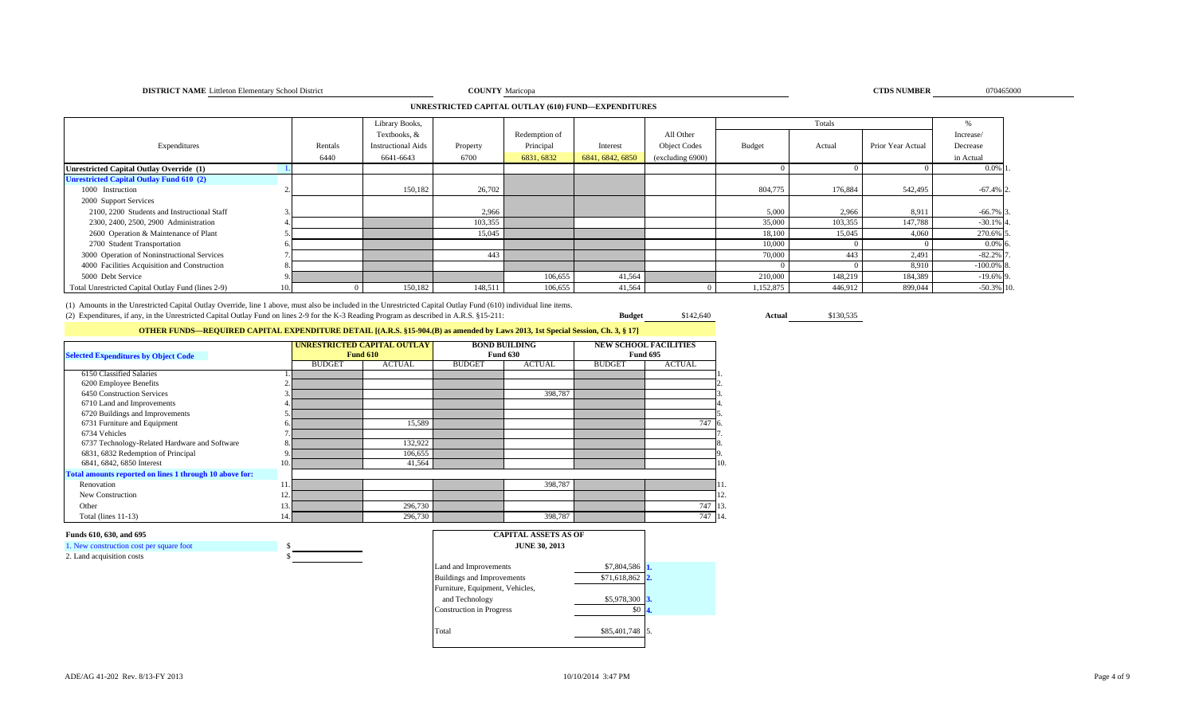### **DISTRICT NAME** Littleton Elementary School District **COUNTY**

### **UNRESTRICTED CAPITAL OUTLAY (610) FUND—EXPENDITURES**

|                                                    |         | Library Books,            |          |               |                  |                     |           | Totals  |                   |              |
|----------------------------------------------------|---------|---------------------------|----------|---------------|------------------|---------------------|-----------|---------|-------------------|--------------|
|                                                    |         | Textbooks, &              |          | Redemption of |                  | All Other           |           |         |                   | Increase/    |
| Expenditures                                       | Rentals | <b>Instructional Aids</b> | Property | Principal     | Interest         | <b>Object Codes</b> | Budget    | Actual  | Prior Year Actual | Decrease     |
|                                                    | 6440    | 6641-6643                 | 6700     | 6831, 6832    | 6841, 6842, 6850 | (excluding 6900)    |           |         |                   | in Actual    |
| Unrestricted Capital Outlay Override (1)           |         |                           |          |               |                  |                     |           |         |                   | $0.0\%$ 1    |
| <b>Unrestricted Capital Outlay Fund 610 (2)</b>    |         |                           |          |               |                  |                     |           |         |                   |              |
| 1000 Instruction                                   |         | 150,182                   | 26,702   |               |                  |                     | 804,775   | 176,884 | 542,495           | $-67.4%$ 2   |
| 2000 Support Services                              |         |                           |          |               |                  |                     |           |         |                   |              |
| 2100, 2200 Students and Instructional Staff        |         |                           | 2,966    |               |                  |                     | 5,000     | 2,966   | 8,911             | $-66.7\%$ 3  |
| 2300, 2400, 2500, 2900 Administration              |         |                           | 103,355  |               |                  |                     | 35,000    | 103,355 | 147,788           | $-30.1\%$ 4  |
| 2600 Operation & Maintenance of Plant              |         |                           | 15,045   |               |                  |                     | 18,100    | 15,045  | 4,060             | 270.6% 5     |
| 2700 Student Transportation                        |         |                           |          |               |                  |                     | 10,000    |         |                   | $0.0\%$ 6    |
| 3000 Operation of Noninstructional Services        |         |                           | 443      |               |                  |                     | 70,000    | 443     | 2,491             | $-82.2%$     |
| 4000 Facilities Acquisition and Construction       |         |                           |          |               |                  |                     |           |         | 8,910             | $-100.0\%$ 8 |
| 5000 Debt Service                                  |         |                           |          | 106,655       | 41,564           |                     | 210,000   | 148,219 | 184,389           | $-19.6\%$ 9  |
| Total Unrestricted Capital Outlay Fund (lines 2-9) |         | 150,182                   | 148,511  | 106,655       | 41,564           |                     | 1,152,875 | 446,912 | 899,044           | $-50.3\%$ 10 |

(1) Amounts in the Unrestricted Capital Outlay Override, line 1 above, must also be included in the Unrestricted Capital Outlay Fund (610) individual line items. (2) Expenditures, if any, in the Unrestricted Capital Outlay Fund on lines 2-9 for the K-3 Reading Program as described in A.R.S. §15-211: **Budget** \$142,640 **Actual** \$130,535

## **OTHER FUNDS—REQUIRED CAPITAL EXPENDITURE DETAIL [(A.R.S. §15-904.(B) as amended by Laws 2013, 1st Special Session, Ch. 3, § 17]**

| <b>Selected Expenditures by Object Code</b>             |     |               | UNRESTRICTED CAPITAL OUTLAY<br><b>Fund 610</b> |               | <b>BOND BUILDING</b><br><b>Fund 630</b> | <b>NEW SCHOOL FACILITIES</b><br><b>Fund 695</b> |               |    |
|---------------------------------------------------------|-----|---------------|------------------------------------------------|---------------|-----------------------------------------|-------------------------------------------------|---------------|----|
|                                                         |     | <b>BUDGET</b> | <b>ACTUAL</b>                                  | <b>BUDGET</b> | <b>ACTUAL</b>                           | <b>BUDGET</b>                                   | <b>ACTUAL</b> |    |
| 6150 Classified Salaries                                |     |               |                                                |               |                                         |                                                 |               |    |
| 6200 Employee Benefits                                  |     |               |                                                |               |                                         |                                                 |               |    |
| 6450 Construction Services                              |     |               |                                                |               | 398,787                                 |                                                 |               |    |
| 6710 Land and Improvements                              |     |               |                                                |               |                                         |                                                 |               |    |
| 6720 Buildings and Improvements                         |     |               |                                                |               |                                         |                                                 |               |    |
| 6731 Furniture and Equipment                            |     |               | 15,589                                         |               |                                         |                                                 | 747           | 6. |
| 6734 Vehicles                                           |     |               |                                                |               |                                         |                                                 |               |    |
| 6737 Technology-Related Hardware and Software           | 8   |               | 132,922                                        |               |                                         |                                                 |               |    |
| 6831, 6832 Redemption of Principal                      |     |               | 106,655                                        |               |                                         |                                                 |               |    |
| 6841, 6842, 6850 Interest                               | 10. |               | 41,564                                         |               |                                         |                                                 |               | 10 |
| Total amounts reported on lines 1 through 10 above for: |     |               |                                                |               |                                         |                                                 |               |    |
| Renovation                                              |     |               |                                                |               | 398,787                                 |                                                 |               |    |
| New Construction                                        | 12. |               |                                                |               |                                         |                                                 |               | 12 |
| Other                                                   |     |               | 296,730                                        |               |                                         |                                                 | 747           | 13 |
| Total (lines $11-13$ )                                  | 14. |               | 296,730                                        |               | 398,787                                 |                                                 | 747 14        |    |

### **Funds 610, 630, and 695**

1. New construction cost per square foot \$ 2. Land acquisition costs

| <b>CAPITAL ASSETS AS OF</b><br><b>JUNE 30, 2013</b> |              |              |
|-----------------------------------------------------|--------------|--------------|
| Land and Improvements                               | \$7,804,586  |              |
| <b>Buildings and Improvements</b>                   | \$71,618,862 | $\mathbf{2}$ |
| Furniture, Equipment, Vehicles,                     |              |              |
| and Technology                                      | \$5,978,300  | 3.           |
| <b>Construction</b> in Progress                     | SO.          | Α.           |
|                                                     |              |              |
| Total                                               | \$85,401,748 | 5.           |
|                                                     |              |              |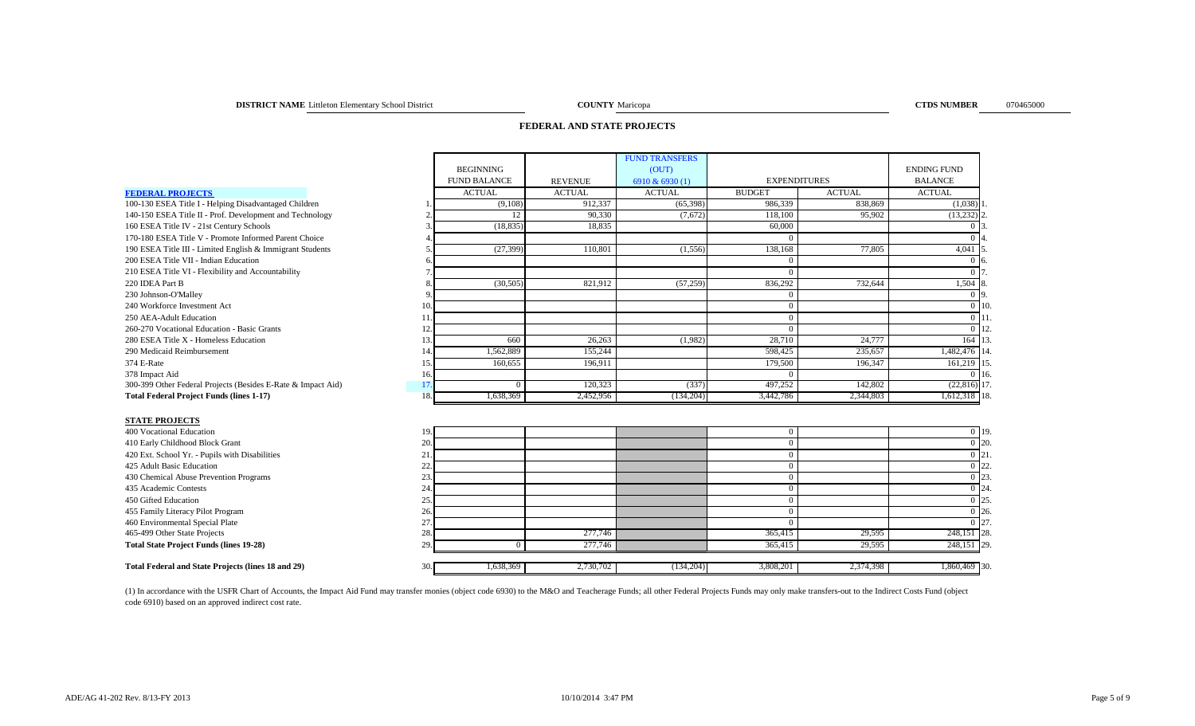### **DISTRICT NAME** Littleton Elementary School District Maricopa Maricopa COUNTY Maricopa

**COUNTY** Maricopa **CTDS NUMBER** 070465000

### **FEDERAL AND STATE PROJECTS**

|                                                              |     |                     |                | <b>FUND TRANSFERS</b> |                     |               |                         |                   |
|--------------------------------------------------------------|-----|---------------------|----------------|-----------------------|---------------------|---------------|-------------------------|-------------------|
|                                                              |     | <b>BEGINNING</b>    |                | (OUT)                 |                     |               | <b>ENDING FUND</b>      |                   |
|                                                              |     | <b>FUND BALANCE</b> | <b>REVENUE</b> | 6910 & 6930 (1)       | <b>EXPENDITURES</b> |               | <b>BALANCE</b>          |                   |
| <b>FEDERAL PROJECTS</b>                                      |     | <b>ACTUAL</b>       | <b>ACTUAL</b>  | <b>ACTUAL</b>         | <b>BUDGET</b>       | <b>ACTUAL</b> | <b>ACTUAL</b>           |                   |
| 100-130 ESEA Title I - Helping Disadvantaged Children        |     | (9,108)             | 912,337        | (65, 398)             | 986,339             | 838,869       | $(1,038)$ 1             |                   |
| 140-150 ESEA Title II - Prof. Development and Technology     |     | 12                  | 90.330         | (7,672)               | 118,100             | 95,902        | $(13,232)$ <sup>2</sup> |                   |
| 160 ESEA Title IV - 21st Century Schools                     | 3   | (18, 835)           | 18.835         |                       | 60,000              |               | 0 <sub>13</sub>         |                   |
| 170-180 ESEA Title V - Promote Informed Parent Choice        |     |                     |                |                       | $\Omega$            |               | 0 <sup>14</sup>         |                   |
| 190 ESEA Title III - Limited English & Immigrant Students    |     | (27, 399)           | 110,801        | (1,556)               | 138,168             | 77.805        | 4,041 5                 |                   |
| 200 ESEA Title VII - Indian Education                        | h   |                     |                |                       | $\Omega$            |               | $0\,$ 6                 |                   |
| 210 ESEA Title VI - Flexibility and Accountability           |     |                     |                |                       | $\Omega$            |               | 0 <sub>17</sub>         |                   |
| 220 IDEA Part B                                              |     | (30, 505)           | 821.912        | (57, 259)             | 836.292             | 732.644       | 1,504 8                 |                   |
| 230 Johnson-O'Malley                                         |     |                     |                |                       | $\Omega$            |               | $0\vert 9$              |                   |
| 240 Workforce Investment Act                                 | 10. |                     |                |                       | $\Omega$            |               |                         | $0\vert 10$       |
| 250 AEA-Adult Education                                      | 11. |                     |                |                       | $\Omega$            |               | $0$ 11                  |                   |
| 260-270 Vocational Education - Basic Grants                  | 12. |                     |                |                       | $\Omega$            |               |                         | $0 \vert 12$      |
| 280 ESEA Title X - Homeless Education                        | 13. | 660                 | 26,263         | (1,982)               | 28,710              | 24,777        | 164 13                  |                   |
| 290 Medicaid Reimbursement                                   | 14. | 1,562,889           | 155,244        |                       | 598,425             | 235.657       | 1,482,476 14            |                   |
| 374 E-Rate                                                   | 15. | 160,655             | 196,911        |                       | 179,500             | 196,347       | 161,219 15.             |                   |
| 378 Impact Aid                                               | 16. |                     |                |                       | $\Omega$            |               |                         | $0 \; 16$         |
| 300-399 Other Federal Projects (Besides E-Rate & Impact Aid) | 17. | $\mathbf{0}$        | 120,323        | (337)                 | 497,252             | 142,802       | $(22,816)$ 17.          |                   |
| <b>Total Federal Project Funds (lines 1-17)</b>              | 18. | 1,638,369           | 2,452,956      | (134,204)             | 3,442,786           | 2,344,803     | 1,612,318 18.           |                   |
|                                                              |     |                     |                |                       |                     |               |                         |                   |
| <b>STATE PROJECTS</b>                                        |     |                     |                |                       |                     |               |                         |                   |
| 400 Vocational Education                                     | 19. |                     |                |                       | $\Omega$            |               |                         | $0$ 19            |
| 410 Early Childhood Block Grant                              | 20. |                     |                |                       | $\Omega$            |               |                         | $\overline{0}$ 20 |
| 420 Ext. School Yr. - Pupils with Disabilities               | 21. |                     |                |                       | $\Omega$            |               | $0\vert 21$             |                   |
| 425 Adult Basic Education                                    | 22. |                     |                |                       | $\Omega$            |               |                         | $0\overline{22}$  |
| 430 Chemical Abuse Prevention Programs                       | 23. |                     |                |                       | $\Omega$            |               | $0\vert 23$             |                   |
| 435 Academic Contests                                        | 24  |                     |                |                       | $\Omega$            |               |                         | $0\vert 24$       |
| 450 Gifted Education                                         | 25. |                     |                |                       | $\overline{0}$      |               |                         | 0 25              |
| 455 Family Literacy Pilot Program                            | 26. |                     |                |                       | $\Omega$            |               |                         | $0\,26$           |
| 460 Environmental Special Plate                              | 27  |                     |                |                       | $\Omega$            |               |                         | $\overline{0}$ 27 |
| 465-499 Other State Projects                                 | 28. |                     | 277,746        |                       | 365,415             | 29,595        | 248,151 28.             |                   |
| <b>Total State Project Funds (lines 19-28)</b>               | 29. | $\overline{0}$      | 277,746        |                       | 365,415             | 29,595        | 248,151 29.             |                   |
| Total Federal and State Projects (lines 18 and 29)           | 30. | 1,638,369           | 2,730,702      | (134,204)             | 3,808,201           | 2,374,398     | 1,860,469 30.           |                   |
|                                                              |     |                     |                |                       |                     |               |                         |                   |

(1) In accordance with the USFR Chart of Accounts, the Impact Aid Fund may transfer monies (object code 6930) to the M&O and Teacherage Funds; all other Federal Projects Funds may only make transfers-out to the Indirect Co code 6910) based on an approved indirect cost rate.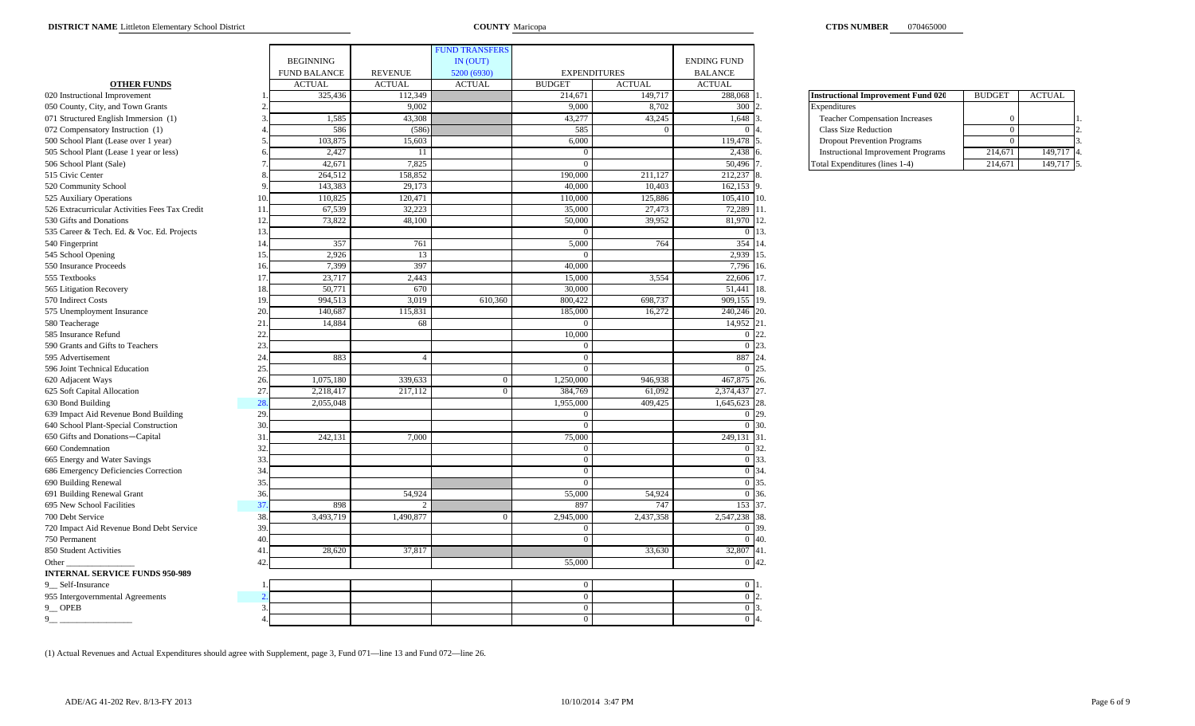|                                                                       |                |                     |                             | <b>FUND TRANSFERS</b> |                     |               |                    |                                           |                |               |
|-----------------------------------------------------------------------|----------------|---------------------|-----------------------------|-----------------------|---------------------|---------------|--------------------|-------------------------------------------|----------------|---------------|
|                                                                       |                | <b>BEGINNING</b>    |                             | IN (OUT)              |                     |               | <b>ENDING FUND</b> |                                           |                |               |
|                                                                       |                | <b>FUND BALANCE</b> | <b>REVENUE</b>              | 5200 (6930)           | <b>EXPENDITURES</b> |               | <b>BALANCE</b>     |                                           |                |               |
| <b>OTHER FUNDS</b>                                                    |                | <b>ACTUAL</b>       | <b>ACTUAL</b>               | <b>ACTUAL</b>         | <b>BUDGET</b>       | <b>ACTUAL</b> | <b>ACTUAL</b>      |                                           |                |               |
| 020 Instructional Improvement                                         |                | 325,436             | 112,349                     |                       | 214,671             | 149,717       | 288,068            | <b>Instructional Improvement Fund 020</b> | <b>BUDGET</b>  | <b>ACTUAL</b> |
| 050 County, City, and Town Grants                                     |                |                     | 9,002                       |                       | 9,000               | 8,702         | 300                | Expenditures                              |                |               |
| 071 Structured English Immersion (1)                                  |                | 1,585               | 43,308                      |                       | 43,277              | 43,245        | 1,648              | <b>Teacher Compensation Increases</b>     |                |               |
| 072 Compensatory Instruction (1)                                      |                | 586                 | (586)                       |                       | 585                 | $\Omega$      | $\Omega$           | <b>Class Size Reduction</b>               | $\overline{0}$ |               |
| 500 School Plant (Lease over 1 year)                                  |                | 103,875             | 15,603                      |                       | 6,000               |               | 119,478            | <b>Dropout Prevention Programs</b>        | $\Omega$       |               |
| 505 School Plant (Lease 1 year or less)                               |                | 2,427               | 11                          |                       | $\overline{0}$      |               | 2,438              | <b>Instructional Improvement Programs</b> | 214,671        |               |
| 506 School Plant (Sale)                                               |                | 42,671              | 7,825                       |                       | $\theta$            |               | 50,496             | Total Expenditures (lines 1-4)            | 214,671        |               |
| 515 Civic Center                                                      |                | 264,512             | 158,852                     |                       | 190,000             | 211,127       | 212,237            |                                           |                |               |
| 520 Community School                                                  |                | 143,383             | 29,173                      |                       | 40,000              | 10,403        | 162,153 9          |                                           |                |               |
| 525 Auxiliary Operations                                              | $\frac{1}{2}$  | 110,825             | 120,471                     |                       | 110,000             | 125,886       | 105,410 10.        |                                           |                |               |
| 526 Extracurricular Activities Fees Tax Credit                        | 11             | 67,539              | 32,223                      |                       | 35,000              | 27,473        | 72,289 11.         |                                           |                |               |
| 530 Gifts and Donations                                               | 12             | 73,822              | 48,100                      |                       | 50,000              | 39,952        | 81,970 12.         |                                           |                |               |
| 535 Career & Tech. Ed. & Voc. Ed. Projects                            | 13             |                     |                             |                       | $\Omega$            |               | 0 13.              |                                           |                |               |
| 540 Fingerprint                                                       | $\frac{1}{2}$  | 357                 | 761                         |                       | 5,000               | 764           | 354 14             |                                           |                |               |
| 545 School Opening                                                    | 15             | 2,926               | 13                          |                       | $\Omega$            |               | 2,939 15.          |                                           |                |               |
| 550 Insurance Proceeds                                                | $\overline{1}$ | 7,399               | 397                         |                       | 40,000              |               | 7,796 16.          |                                           |                |               |
| 555 Textbooks                                                         | 17             | 23,717              | 2,443                       |                       | 15,000              | 3,554         | 22,606             | 17.                                       |                |               |
| 565 Litigation Recovery                                               | $\overline{1}$ | 50,771              | 670                         |                       | 30,000              |               | 51,441             | 18.                                       |                |               |
| 570 Indirect Costs                                                    | 19             | 994,513             | 3,019                       | 610,360               | 800,422             | 698,737       | 909,155            | 19.                                       |                |               |
| 575 Unemployment Insurance                                            | 20             | 140.687             | 115,831                     |                       | 185,000             | 16,272        | 240,246            |                                           |                |               |
| 580 Teacherage                                                        | 21             | 14,884              | 68                          |                       | $\Omega$            |               | 14,952             | 21.                                       |                |               |
| 585 Insurance Refund                                                  | 22             |                     |                             |                       | 10,000              |               | $\Omega$           | 22                                        |                |               |
| 590 Grants and Gifts to Teachers                                      | 23             |                     |                             |                       | $\overline{0}$      |               | $0\vert 23$        |                                           |                |               |
| 595 Advertisement                                                     | 24             | 883                 | $\Lambda$                   |                       | $\overline{0}$      |               | 887 24             |                                           |                |               |
| 596 Joint Technical Education                                         | 25             |                     |                             |                       | $\overline{0}$      |               | $\Omega$           | 25.                                       |                |               |
| 620 Adjacent Ways                                                     | 26             | 1,075,180           | 339,633                     | $\overline{0}$        | 1,250,000           | 946,938       | 467,875            | 26.                                       |                |               |
| 625 Soft Capital Allocation                                           | 27             | 2,218,417           | 217,112                     | $\overline{0}$        | 384,769             | 61.092        | 2,374,437          |                                           |                |               |
| 630 Bond Building                                                     | 28             | 2,055,048           |                             |                       | 1,955,000           | 409,425       | 1,645,623          | 28                                        |                |               |
| 639 Impact Aid Revenue Bond Building                                  | 29             |                     |                             |                       | $\overline{0}$      |               | $\overline{0}$     | 29                                        |                |               |
| 640 School Plant-Special Construction                                 | 30             |                     |                             |                       | $\theta$            |               | $\Omega$           |                                           |                |               |
| 650 Gifts and Donations-Capital                                       | 31             | 242,131             | 7,000                       |                       | 75,000              |               | 249,131 31         |                                           |                |               |
| 660 Condemnation                                                      | 32             |                     |                             |                       | $\overline{0}$      |               | 0 32.              |                                           |                |               |
|                                                                       | 33             |                     |                             |                       | $\mathbf{0}$        |               | 0 33.              |                                           |                |               |
| 665 Energy and Water Savings<br>686 Emergency Deficiencies Correction | 34             |                     |                             |                       | $\overline{0}$      |               | 0 34               |                                           |                |               |
|                                                                       | 35             |                     |                             |                       | $\overline{0}$      |               | 0 35               |                                           |                |               |
| 690 Building Renewal<br>691 Building Renewal Grant                    | 36             |                     | 54,924                      |                       | 55,000              | 54,924        | 0 36.              |                                           |                |               |
|                                                                       |                |                     | $\mathcal{D}_{\mathcal{A}}$ |                       |                     | 747           |                    |                                           |                |               |
| 695 New School Facilities                                             | 37             | 898                 |                             |                       | 897                 |               | 153 37.            |                                           |                |               |
| 700 Debt Service                                                      | 38             | 3,493,719           | 1,490,877                   | $\Omega$              | 2,945,000           | 2,437,358     | 2,547,238 38.      |                                           |                |               |
| 720 Impact Aid Revenue Bond Debt Service                              | 39             |                     |                             |                       | $\overline{0}$      |               | 0 39.              |                                           |                |               |
| 750 Permanent                                                         | 40             |                     |                             |                       | $\overline{0}$      |               | $0\,40.$           |                                           |                |               |
| 850 Student Activities                                                | $\overline{4}$ | 28,620              | 37,817                      |                       |                     | 33,630        | 32,807 41          |                                           |                |               |
| Other $_{-}$                                                          | 42             |                     |                             |                       | 55,000              |               | $0\;42$            |                                           |                |               |
| <b>INTERNAL SERVICE FUNDS 950-989</b>                                 |                |                     |                             |                       |                     |               |                    |                                           |                |               |
| 9_Self-Insurance                                                      |                |                     |                             |                       | $\mathbf{0}$        |               | 0 11               |                                           |                |               |
| 955 Intergovernmental Agreements                                      |                |                     |                             |                       | $\boldsymbol{0}$    |               | 0 <sub>12</sub>    |                                           |                |               |
| $9$ OPEB                                                              |                |                     |                             |                       | $\overline{0}$      |               | 0 <sup>13</sup>    |                                           |                |               |
| 9                                                                     |                |                     |                             |                       | $\Omega$            |               | 0 <sub>14</sub>    |                                           |                |               |

| <b>Instructional Improvement Fund 020</b> | <b>BUDGET</b> | <b>ACTUAL</b> |    |
|-------------------------------------------|---------------|---------------|----|
| Expenditures                              |               |               |    |
| <b>Teacher Compensation Increases</b>     |               |               |    |
| <b>Class Size Reduction</b>               |               |               | 2. |
| <b>Dropout Prevention Programs</b>        |               |               |    |
| <b>Instructional Improvement Programs</b> | 214,671       | 149,717       |    |
| Total Expenditures (lines 1-4)            | 214,671       | 149,717       |    |

(1) Actual Revenues and Actual Expenditures should agree with Supplement, page 3, Fund 071—line 13 and Fund 072—line 26.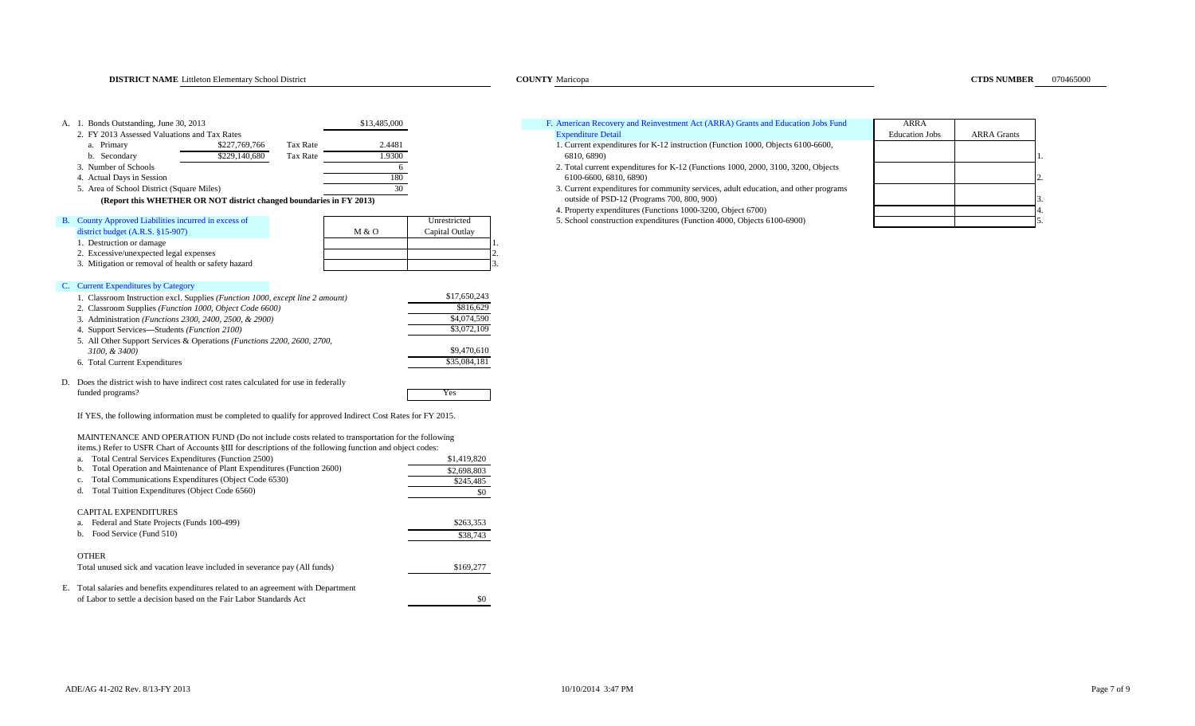| A. 1. Bonds Outstanding, June 30, 2013<br>\$13,485,000                                                                          |                          | F. American Recovery and Reinvestment Act (ARRA) Grants and Education Jobs Fund                  | ARRA                  |                    |
|---------------------------------------------------------------------------------------------------------------------------------|--------------------------|--------------------------------------------------------------------------------------------------|-----------------------|--------------------|
| 2. FY 2013 Assessed Valuations and Tax Rates                                                                                    |                          | <b>Expenditure Detail</b>                                                                        | <b>Education Jobs</b> | <b>ARRA</b> Grants |
| \$227,769,766<br>2.4481<br>a. Primary<br>Tax Rate                                                                               |                          | 1. Current expenditures for K-12 instruction (Function 1000, Objects 6100-6600,                  |                       |                    |
| 1.9300<br>\$229,140,680<br><b>Tax Rate</b><br>b. Secondary<br>3. Number of Schools<br>6                                         |                          | 6810, 6890)<br>2. Total current expenditures for K-12 (Functions 1000, 2000, 3100, 3200, Objects |                       |                    |
| 180<br>4. Actual Days in Session                                                                                                |                          | 6100-6600, 6810, 6890)                                                                           |                       |                    |
| 30<br>5. Area of School District (Square Miles)                                                                                 |                          | 3. Current expenditures for community services, adult education, and other programs              |                       |                    |
| (Report this WHETHER OR NOT district changed boundaries in FY 2013)                                                             |                          | outside of PSD-12 (Programs 700, 800, 900)                                                       |                       |                    |
|                                                                                                                                 |                          | 4. Property expenditures (Functions 1000-3200, Object 6700)                                      |                       |                    |
| B. County Approved Liabilities incurred in excess of                                                                            | Unrestricted             | 5. School construction expenditures (Function 4000, Objects 6100-6900)                           |                       |                    |
| district budget $(A.R.S. §15-907)$<br>M & O                                                                                     | Capital Outlay           |                                                                                                  |                       |                    |
| 1. Destruction or damage                                                                                                        |                          |                                                                                                  |                       |                    |
| 2. Excessive/unexpected legal expenses<br>3. Mitigation or removal of health or safety hazard                                   |                          |                                                                                                  |                       |                    |
|                                                                                                                                 |                          |                                                                                                  |                       |                    |
| C. Current Expenditures by Category                                                                                             |                          |                                                                                                  |                       |                    |
| 1. Classroom Instruction excl. Supplies (Function 1000, except line 2 amount)                                                   | \$17,650,243             |                                                                                                  |                       |                    |
| 2. Classroom Supplies (Function 1000, Object Code 6600)                                                                         | \$816,629                |                                                                                                  |                       |                    |
| 3. Administration (Functions 2300, 2400, 2500, & 2900)                                                                          | \$4,074,590              |                                                                                                  |                       |                    |
| 4. Support Services-Students (Function 2100)                                                                                    | \$3,072,109              |                                                                                                  |                       |                    |
| 5. All Other Support Services & Operations (Functions 2200, 2600, 2700,                                                         |                          |                                                                                                  |                       |                    |
| 3100, & 3400)                                                                                                                   | \$9,470,610              |                                                                                                  |                       |                    |
| 6. Total Current Expenditures                                                                                                   | \$35,084,181             |                                                                                                  |                       |                    |
| D. Does the district wish to have indirect cost rates calculated for use in federally                                           |                          |                                                                                                  |                       |                    |
| funded programs?                                                                                                                | Yes                      |                                                                                                  |                       |                    |
|                                                                                                                                 |                          |                                                                                                  |                       |                    |
| If YES, the following information must be completed to qualify for approved Indirect Cost Rates for FY 2015.                    |                          |                                                                                                  |                       |                    |
|                                                                                                                                 |                          |                                                                                                  |                       |                    |
| MAINTENANCE AND OPERATION FUND (Do not include costs related to transportation for the following                                |                          |                                                                                                  |                       |                    |
| items.) Refer to USFR Chart of Accounts §III for descriptions of the following function and object codes:                       |                          |                                                                                                  |                       |                    |
| Total Central Services Expenditures (Function 2500)<br>b. Total Operation and Maintenance of Plant Expenditures (Function 2600) | \$1,419,820              |                                                                                                  |                       |                    |
| Total Communications Expenditures (Object Code 6530)<br>$\mathbf{c}$ .                                                          | \$2,698,803<br>\$245,485 |                                                                                                  |                       |                    |
| d. Total Tuition Expenditures (Object Code 6560)                                                                                | \$0                      |                                                                                                  |                       |                    |
|                                                                                                                                 |                          |                                                                                                  |                       |                    |
| CAPITAL EXPENDITURES                                                                                                            |                          |                                                                                                  |                       |                    |
| a. Federal and State Projects (Funds 100-499)                                                                                   | \$263,353                |                                                                                                  |                       |                    |
| b. Food Service (Fund 510)                                                                                                      | \$38,743                 |                                                                                                  |                       |                    |
|                                                                                                                                 |                          |                                                                                                  |                       |                    |
| <b>OTHER</b>                                                                                                                    |                          |                                                                                                  |                       |                    |
| Total unused sick and vacation leave included in severance pay (All funds)                                                      | \$169,277                |                                                                                                  |                       |                    |
| E. Total salaries and benefits expenditures related to an agreement with Department                                             |                          |                                                                                                  |                       |                    |
| of Labor to settle a decision based on the Fair Labor Standards Act                                                             | \$0                      |                                                                                                  |                       |                    |

### Solution Contract and the Expenditure Detail and the Expenditure Detail and the Contract of the ARRA Grants 1. Current expenditures for K-12 instruction (Function 1000, Objects 6100-6600, Expenditure Detail

- 
- 2. Total current expenditures for K-12 (Functions 1000, 2000, 3100, 3200, Objects
- 3. Current expenditures for community services, adult education, and other programs **(Burn to the OR NOT 12 (Programs 700, 800, 900)** outside of PSD-12 (Programs 700, 800, 900)
- 4. Property expenditures (Functions 1000-3200, Object 6700) 4.

| AKKA                  |                    |                |
|-----------------------|--------------------|----------------|
| <b>Education Jobs</b> | <b>ARRA Grants</b> |                |
|                       |                    |                |
|                       |                    | 1              |
|                       |                    |                |
|                       |                    | $\overline{2}$ |
|                       |                    |                |
|                       |                    | 3              |
|                       |                    | $\overline{4}$ |
|                       |                    | 5              |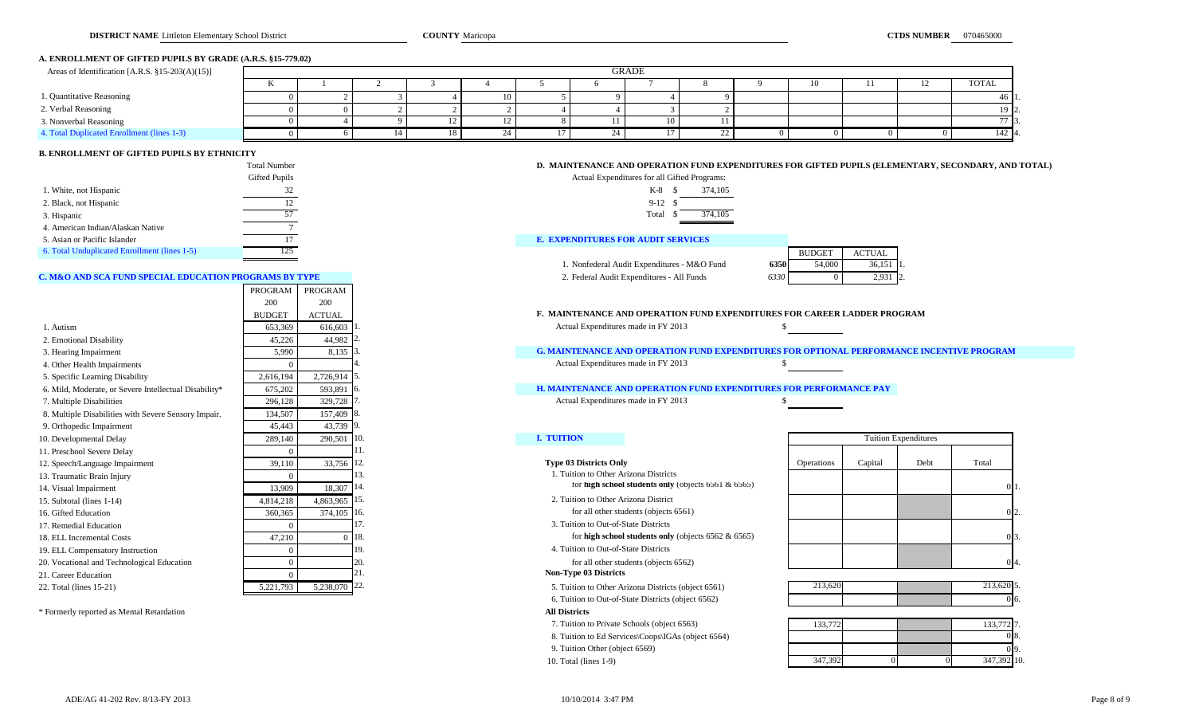### **A. ENROLLMENT OF GIFTED PUPILS BY GRADE (A.R.S. §15-779.02)**

| Areas of Identification [A.R.S. $\S 15-203(A)(15)$ ] |              | GRADE |  |  |  |  |  |  |    |  |     |  |                  |
|------------------------------------------------------|--------------|-------|--|--|--|--|--|--|----|--|-----|--|------------------|
|                                                      | $\mathbf{r}$ |       |  |  |  |  |  |  |    |  | 10. |  | <b>TOTAL</b>     |
| 1. Quantitative Reasoning                            |              |       |  |  |  |  |  |  |    |  |     |  | 46 H             |
| 2. Verbal Reasoning                                  |              |       |  |  |  |  |  |  |    |  |     |  | 19 IG            |
| 3. Nonverbal Reasoning                               |              |       |  |  |  |  |  |  |    |  |     |  |                  |
| 4. Total Duplicated Enrollment (lines 1-3)           |              |       |  |  |  |  |  |  | 22 |  |     |  | 142 <sup>2</sup> |

### **B. ENROLLMENT OF GIFTED PUPILS BY ETHNICITY**

|                                              | Total Number  | D. MAINTENANCE AND OPERATION FUND EXPENDITURES FOR GIFTED PUPILS (EL |
|----------------------------------------------|---------------|----------------------------------------------------------------------|
|                                              | Gifted Pupils | Actual Expenditures for all Gifted Programs:                         |
| 1. White, not Hispanic                       |               | 374,105<br>K-8                                                       |
| 2. Black, not Hispanic                       |               | $9-12$                                                               |
| 3. Hispanic                                  |               | 374.105<br>Total                                                     |
| 4. American Indian/Alaskan Native            |               |                                                                      |
| 5. Asian or Pacific Islander                 |               | <b>E. EXPENDITURES FOR AUDIT SERVICES</b>                            |
| 6. Total Unduplicated Enrollment (lines 1-5) |               | <b>BUDGET</b><br><b>ACTUAL</b>                                       |

### **C. M&O AND SCA FUND SPECIAL EDUCATION PROGRAMS BY TYPE 2. Federal Audit Expenditures - All Funds <b>6330** 0 2.932 2.93

|                                                       | <b>PROGRAM</b> | PROGRAM                    |           |                                                                                                  |                   |         |                             |           |
|-------------------------------------------------------|----------------|----------------------------|-----------|--------------------------------------------------------------------------------------------------|-------------------|---------|-----------------------------|-----------|
|                                                       | 200            | 200                        |           |                                                                                                  |                   |         |                             |           |
|                                                       | <b>BUDGET</b>  | <b>ACTUAL</b>              |           | <b>F. MAINTENANCE AND OPERATION FUND EXPENDITURES FOR CAREER LADDER PROGRAM</b>                  |                   |         |                             |           |
| 1. Autism                                             | 653,369        | 616,603                    |           | Actual Expenditures made in FY 2013                                                              |                   |         |                             |           |
| 2. Emotional Disability                               | 45,226         | 44,982 2                   |           |                                                                                                  |                   |         |                             |           |
| 3. Hearing Impairment                                 | 5,990          | $8,135$ 3.                 |           | <b>G. MAINTENANCE AND OPERATION FUND EXPENDITURES FOR OPTIONAL PERFORMANCE INCENTIVE PROGRAM</b> |                   |         |                             |           |
| 4. Other Health Impairments                           |                |                            |           | Actual Expenditures made in FY 2013                                                              |                   |         |                             |           |
| 5. Specific Learning Disability                       | 2,616,194      | 2,726,914 5.               |           |                                                                                                  |                   |         |                             |           |
| 6. Mild, Moderate, or Severe Intellectual Disability* | 675,202        | 593,891                    | -16.      | <b>H. MAINTENANCE AND OPERATION FUND EXPENDITURES FOR PERFORMANCE PAY</b>                        |                   |         |                             |           |
| 7. Multiple Disabilities                              | 296,128        | 329,728 7                  |           | Actual Expenditures made in FY 2013                                                              |                   |         |                             |           |
| 8. Multiple Disabilities with Severe Sensory Impair.  | 134.507        | 157,409 8.                 |           |                                                                                                  |                   |         |                             |           |
| 9. Orthopedic Impairment                              | 45,443         | 43,739 9.                  |           |                                                                                                  |                   |         |                             |           |
| 10. Developmental Delay                               | 289,140        | 290,501                    | <b>10</b> | <b>I. TUITION</b>                                                                                |                   |         | <b>Tuition Expenditures</b> |           |
| 11. Preschool Severe Delay                            |                |                            |           |                                                                                                  |                   |         |                             |           |
| 12. Speech/Language Impairment                        | 39,110         | 33,756 12.                 |           | <b>Type 03 Districts Only</b>                                                                    | <b>Operations</b> | Capital | Debt                        | Total     |
| 13. Traumatic Brain Injury                            |                |                            |           | 1. Tuition to Other Arizona Districts                                                            |                   |         |                             |           |
| 14. Visual Impairment                                 | 13,909         | $18,307$ 14.               |           | for high school students only (objects $6561 & 6565$ )                                           |                   |         |                             |           |
| 15. Subtotal (lines 1-14)                             | 4,814,218      | 4,863,965 15.              |           | 2. Tuition to Other Arizona District                                                             |                   |         |                             |           |
| 16. Gifted Education                                  | 360,365        | $374,105$ 16.              |           | for all other students (objects 6561)                                                            |                   |         |                             |           |
| 17. Remedial Education                                |                |                            |           | 3. Tuition to Out-of-State Districts                                                             |                   |         |                             |           |
| 18. ELL Incremental Costs                             | 47,210         |                            | 0.118.    | for high school students only (objects $6562 \& 6565$ )                                          |                   |         |                             |           |
| 19. ELL Compensatory Instruction                      |                |                            | 19.       | 4. Tuition to Out-of-State Districts                                                             |                   |         |                             |           |
| 20. Vocational and Technological Education            |                |                            |           | for all other students (objects 6562)                                                            |                   |         |                             |           |
| 21. Career Education                                  |                |                            |           | <b>Non-Type 03 Districts</b>                                                                     |                   |         |                             |           |
| 22. Total (lines 15-21)                               | 5,221,793      | $5,238,070$ <sup>22.</sup> |           | 5. Tuition to Other Arizona Districts (object 6561)                                              | 213,620           |         |                             | 213,620 5 |

\* Formerly reported as Mental Retardation **All Districts**

| i'otal Number | D. MAINTENANCE AND OPERATION FUND EXPENDITURES FOR GIFTED PUPILS (ELEMENTARY, SECONDARY, AND TOTAL) |
|---------------|-----------------------------------------------------------------------------------------------------|
|               |                                                                                                     |

| Expenditures for all Gifted Programs: |               |         |
|---------------------------------------|---------------|---------|
| K-8                                   | -8            | 374,105 |
| $9-12S$                               |               |         |
| Total                                 | $\mathcal{S}$ | 374,105 |

1. Nonfederal Audit Expenditures - M&O Fund

|      | <b>BUDGET</b> | ACTUAL |  |
|------|---------------|--------|--|
| 6350 | 54,000        | 36,151 |  |
| 6330 |               | 2.931  |  |

### **H. MAINTENANCE AND OPERATION FUND EXPENDITURES FOR PERFORMANCE PAY**

6. Tuition to Out-of-State Districts (object 6562)

7. Tuition to Private Schools (object 6563)

8. Tuition to Ed Services\Coops\IGAs (object 6564)

9. Tuition Other (object 6569)

10. Total (lines 1-9)

| <b>Tuition Expenditures</b> |         |      |                    |  |  |  |  |  |  |  |  |
|-----------------------------|---------|------|--------------------|--|--|--|--|--|--|--|--|
| Operations                  | Capital | Debt | Total              |  |  |  |  |  |  |  |  |
|                             |         |      | ı.<br>C            |  |  |  |  |  |  |  |  |
|                             |         |      | 2.<br>0            |  |  |  |  |  |  |  |  |
|                             |         |      | 3.<br>$\mathbf{0}$ |  |  |  |  |  |  |  |  |
|                             |         |      | 4.                 |  |  |  |  |  |  |  |  |

| 212,620<br>21,020 |  | 212,00<br>1.0401 |
|-------------------|--|------------------|
|                   |  |                  |

|    | 133,772 7. |  | 133,772 |
|----|------------|--|---------|
| ο. |            |  |         |
|    |            |  |         |
|    | 347,392 10 |  | 347,392 |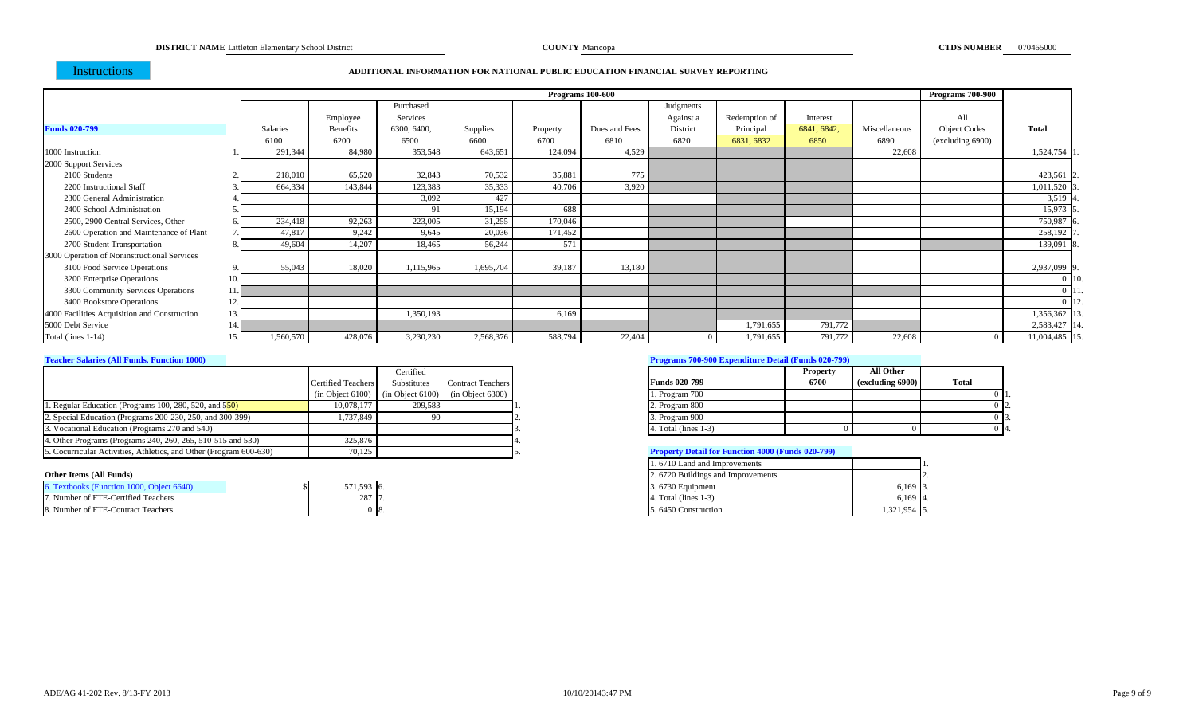**COUNTY** Maricopa

### Instructions

### **ADDITIONAL INFORMATION FOR NATIONAL PUBLIC EDUCATION FINANCIAL SURVEY REPORTING**

|                                              |     |                 |                 |             |           |          | Programs 100-600 |           |               |             |               | Programs 700-900    |               |
|----------------------------------------------|-----|-----------------|-----------------|-------------|-----------|----------|------------------|-----------|---------------|-------------|---------------|---------------------|---------------|
|                                              |     |                 |                 | Purchased   |           |          |                  | Judgments |               |             |               |                     |               |
|                                              |     |                 | Employee        | Services    |           |          |                  | Against a | Redemption of | Interest    |               | All                 |               |
| <b>Funds 020-799</b>                         |     | <b>Salaries</b> | <b>Benefits</b> | 6300, 6400, | Supplies  | Property | Dues and Fees    | District  | Principal     | 6841, 6842, | Miscellaneous | <b>Object Codes</b> | <b>Total</b>  |
|                                              |     | 6100            | 6200            | 6500        | 6600      | 6700     | 6810             | 6820      | 6831, 6832    | 6850        | 6890          | (excluding 6900)    |               |
| 1000 Instruction                             |     | 291,344         | 84,980          | 353,548     | 643,651   | 124,094  | 4,529            |           |               |             | 22,608        |                     | 1,524,754     |
| 2000 Support Services                        |     |                 |                 |             |           |          |                  |           |               |             |               |                     |               |
| 2100 Students                                |     | 218,010         | 65,520          | 32,843      | 70,532    | 35,881   | 775              |           |               |             |               |                     | 423,561       |
| 2200 Instructional Staff                     |     | 664,334         | 143,844         | 123,383     | 35,333    | 40,706   | 3,920            |           |               |             |               |                     | 1,011,520     |
| 2300 General Administration                  |     |                 |                 | 3,092       | 427       |          |                  |           |               |             |               |                     | 3,519         |
| 2400 School Administration                   |     |                 |                 | 91          | 15,194    | 688      |                  |           |               |             |               |                     | 15,973        |
| 2500, 2900 Central Services, Other           |     | 234,418         | 92,263          | 223,005     | 31,255    | 170,046  |                  |           |               |             |               |                     | 750,987       |
| 2600 Operation and Maintenance of Plant      |     | 47.817          | 9,242           | 9.645       | 20,036    | 171,452  |                  |           |               |             |               |                     | 258,192       |
| 2700 Student Transportation                  |     | 49,604          | 14,207          | 18,465      | 56,244    | 571      |                  |           |               |             |               |                     | 139,091       |
| 3000 Operation of Noninstructional Services  |     |                 |                 |             |           |          |                  |           |               |             |               |                     |               |
| 3100 Food Service Operations                 |     | 55,043          | 18,020          | 1,115,965   | 1,695,704 | 39,187   | 13,180           |           |               |             |               |                     | 2,937,099     |
| 3200 Enterprise Operations                   | 10. |                 |                 |             |           |          |                  |           |               |             |               |                     |               |
| 3300 Community Services Operations           |     |                 |                 |             |           |          |                  |           |               |             |               |                     |               |
| 3400 Bookstore Operations                    | 12  |                 |                 |             |           |          |                  |           |               |             |               |                     |               |
| 4000 Facilities Acquisition and Construction | 13. |                 |                 | 1,350,193   |           | 6,169    |                  |           |               |             |               |                     | 1,356,362     |
| 5000 Debt Service                            |     |                 |                 |             |           |          |                  |           | 1,791,655     | 791,772     |               |                     | 2,583,427     |
| Total (lines 1-14)                           |     | 1,560,570       | 428,076         | 3,230,230   | 2,568,376 | 588,794  | 22,404           |           | 1,791,655     | 791,772     | 22,608        |                     | 11,004,485 15 |

|                                                                    |                           | Certified                                                |                          |                                                          | <b>Property</b> | <b>All Other</b> |       |
|--------------------------------------------------------------------|---------------------------|----------------------------------------------------------|--------------------------|----------------------------------------------------------|-----------------|------------------|-------|
|                                                                    | <b>Certified Teachers</b> | Substitutes                                              | <b>Contract Teachers</b> | <b>Funds 020-799</b>                                     | 6700            | (excluding 6900) | Total |
|                                                                    |                           | $(in Object 6100)$ $(in Object 6100)$ $(in Object 6300)$ |                          | 1. Program 700                                           |                 |                  |       |
| 1. Regular Education (Programs 100, 280, 520, and $550$ )          | 10,078,177                | 209.583                                                  |                          | 2. Program 800                                           |                 |                  |       |
| 2. Special Education (Programs 200-230, 250, and 300-399)          | 1.737.849                 | 90                                                       |                          | 3. Program 900                                           |                 |                  |       |
| 3. Vocational Education (Programs 270 and 540)                     |                           |                                                          |                          | 4. Total (lines 1-3)                                     |                 |                  |       |
| 4. Other Programs (Programs 240, 260, 265, 510-515 and 530)        | 325,876                   |                                                          |                          |                                                          |                 |                  |       |
| 5. Cocurricular Activities, Athletics, and Other (Program 600-630) | 70,125                    |                                                          |                          | <b>Property Detail for Function 4000 (Funds 020-799)</b> |                 |                  |       |

| 6. Textbooks (Function 1000, Object 6640) | 571,593 6.        | 3.6730 Equipment    |             |
|-------------------------------------------|-------------------|---------------------|-------------|
| 7. Number of FTE-Certified Teachers       | 207F<br>ر 20<br>. | Total (lines 1-3)   |             |
| 8. Number of FTE-Contract Teachers        | -0 ls.            | 5.6450 Construction | 1,321,954 5 |

### **Teacher Salaries (All Funds, Function 1000) Programs 700-900 Expenditure Detail (Funds 020-799)**

|                         | <b>Property</b> | All Other        |       |
|-------------------------|-----------------|------------------|-------|
| <b>Funds 020-799</b>    | 6700            | (excluding 6900) | Total |
| 1. Program 700          |                 |                  | п.    |
| 2. Program 800          |                 |                  | 12.   |
| 3. Program 900          |                 |                  | 3.    |
| 4. Total (lines $1-3$ ) |                 |                  | 14.   |

## **Froperty Detail for Function 4000 (Funds 020-799)**

|                                           |            |      | 1.6710 Land and Improvements      |                        |
|-------------------------------------------|------------|------|-----------------------------------|------------------------|
| Other Items (All Funds)                   |            |      | 2.6720 Buildings and Improvements |                        |
| 6. Textbooks (Function 1000, Object 6640) | 571,593 6. |      | 3.6730 Equipment                  | $0.169$ $\binom{3}{2}$ |
| 7. Number of FTE-Certified Teachers       | 287 17     |      | 4. Total (lines 1-3)              | 6.169 4.               |
| 8. Number of FTE-Contract Teachers        |            | -18. | 5.6450 Construction               | 1,321,954 5.           |